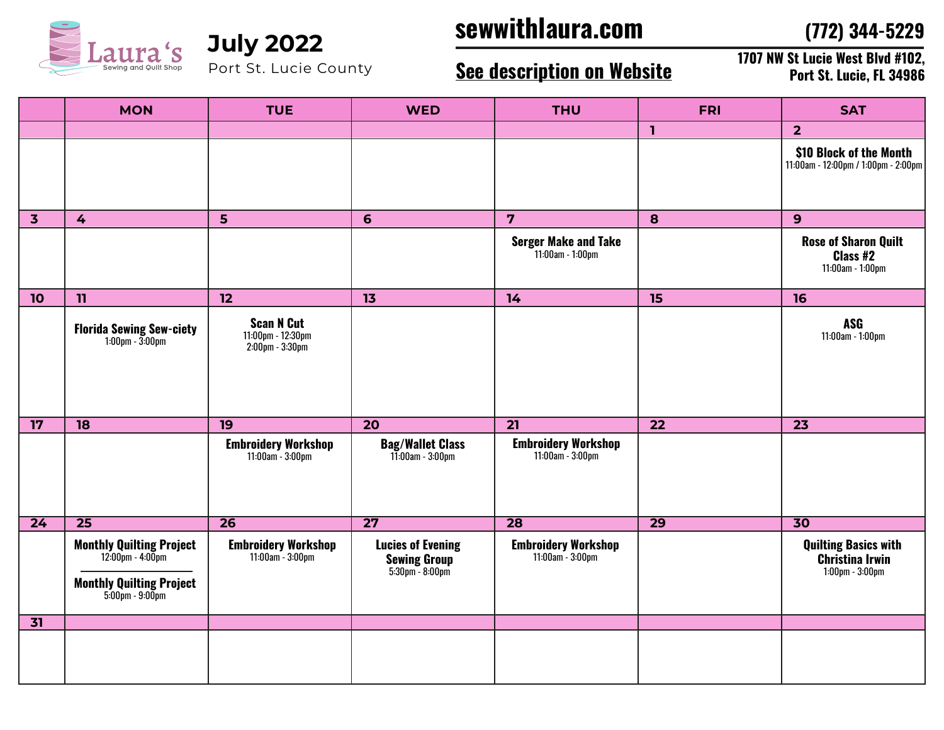

Port St. Lucie County

## **sewwithlaura.com July 2022**

**(772) 344-5229**

## **See description on Website**

**1707 NW St Lucie West Blvd #102, Port St. Lucie, FL 34986**

|                         | <b>MON</b>                                                                                                      | <b>TUE</b>                                                | <b>WED</b>                                                                           | <b>THU</b>                                         | <b>FRI</b>      | <b>SAT</b>                                                                     |
|-------------------------|-----------------------------------------------------------------------------------------------------------------|-----------------------------------------------------------|--------------------------------------------------------------------------------------|----------------------------------------------------|-----------------|--------------------------------------------------------------------------------|
|                         |                                                                                                                 |                                                           |                                                                                      |                                                    | $\mathbf{1}$    | 2 <sup>2</sup>                                                                 |
|                         |                                                                                                                 |                                                           |                                                                                      |                                                    |                 | \$10 Block of the Month<br>11:00am - 12:00pm / 1:00pm - 2:00pm                 |
| $\overline{\mathbf{3}}$ | 4                                                                                                               | $5\phantom{1}$                                            | 6                                                                                    | $\overline{\mathbf{z}}$                            | 8               | 9                                                                              |
|                         |                                                                                                                 |                                                           |                                                                                      | <b>Serger Make and Take</b><br>$11:00$ am - 1:00pm |                 | <b>Rose of Sharon Quilt</b><br>Class #2<br>11:00am - 1:00pm                    |
| 10                      | 11                                                                                                              | 12                                                        | 13                                                                                   | 14                                                 | 15              | 16                                                                             |
|                         | <b>Florida Sewing Sew-ciety</b><br>$1:00$ pm - $3:00$ pm                                                        | <b>Scan N Cut</b><br>11:00pm - 12:30pm<br>2:00pm - 3:30pm |                                                                                      |                                                    |                 | <b>ASG</b><br>11:00am - 1:00pm                                                 |
| 17                      | 18                                                                                                              | 19                                                        | $\overline{20}$                                                                      | $\overline{21}$                                    | $\overline{22}$ | $\overline{23}$                                                                |
|                         |                                                                                                                 | <b>Embroidery Workshop</b><br>11:00am - 3:00pm            | <b>Bag/Wallet Class</b><br>11:00am - 3:00pm                                          | <b>Embroidery Workshop</b><br>11:00am - 3:00pm     |                 |                                                                                |
| $\overline{24}$         | $\overline{25}$                                                                                                 | $\overline{26}$                                           | $\overline{27}$                                                                      | $\overline{28}$                                    | $\overline{29}$ | $\overline{30}$                                                                |
|                         | <b>Monthly Quilting Project</b><br>$12.00$ pm - $4.00$ pm<br><b>Monthly Quilting Project</b><br>5:00pm - 9:00pm | <b>Embroidery Workshop</b><br>11:00am - 3:00pm            | <b>Lucies of Evening</b><br><b>Sewing Group</b><br>$5:30 \text{pm} - 8:00 \text{pm}$ | <b>Embroidery Workshop</b><br>11:00am - 3:00pm     |                 | <b>Quilting Basics with</b><br><b>Christina Irwin</b><br>$1:00$ pm - $3:00$ pm |
| 31                      |                                                                                                                 |                                                           |                                                                                      |                                                    |                 |                                                                                |
|                         |                                                                                                                 |                                                           |                                                                                      |                                                    |                 |                                                                                |